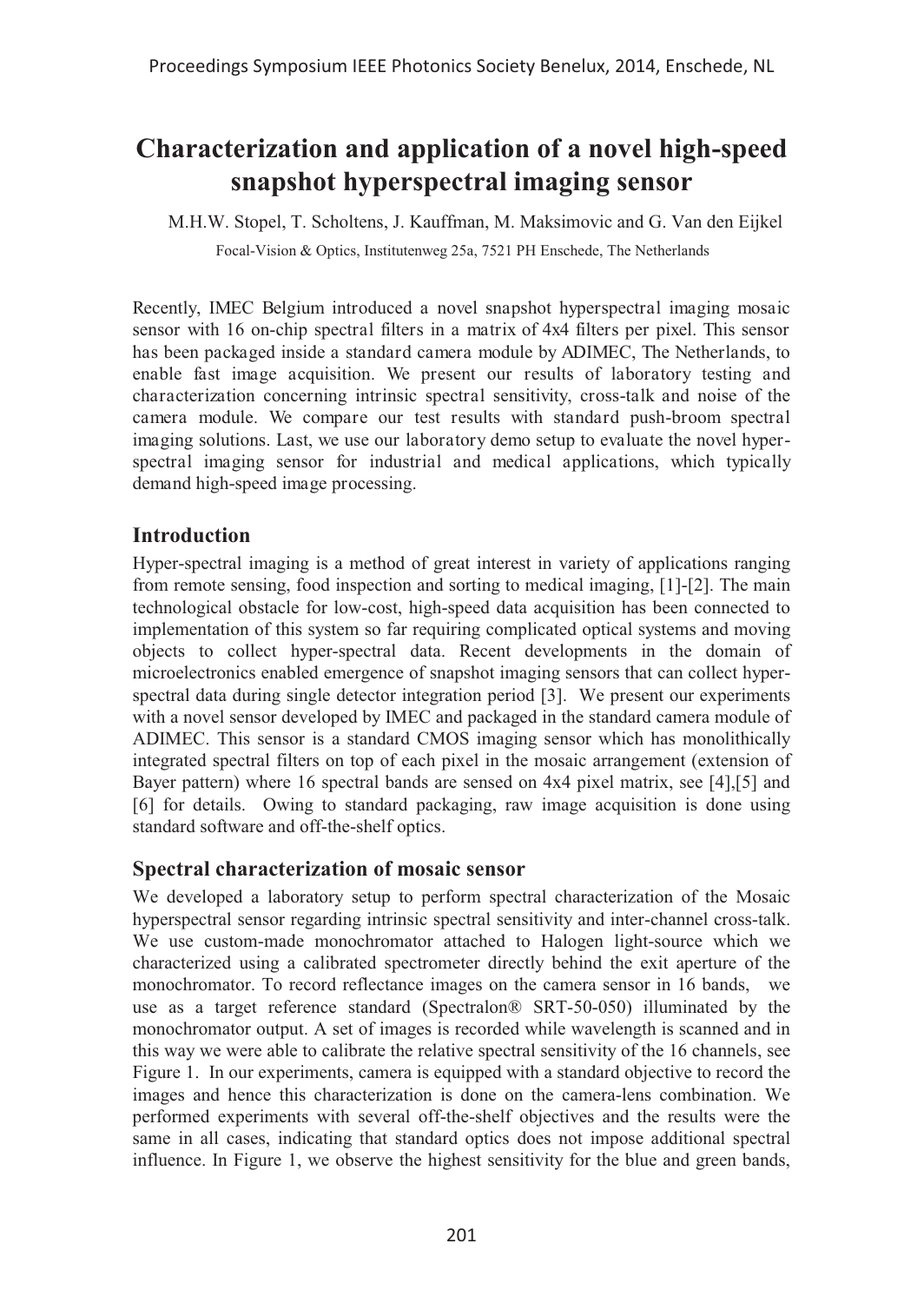# **Characterization and application of a novel high-speed snapshot hyperspectral imaging sensor**

M.H.W. Stopel, T. Scholtens, J. Kauffman, M. Maksimovic and G. Van den Eijkel Focal-Vision & Optics, Institutenweg 25a, 7521 PH Enschede, The Netherlands

Recently, IMEC Belgium introduced a novel snapshot hyperspectral imaging mosaic sensor with 16 on-chip spectral filters in a matrix of 4x4 filters per pixel. This sensor has been packaged inside a standard camera module by ADIMEC, The Netherlands, to enable fast image acquisition. We present our results of laboratory testing and characterization concerning intrinsic spectral sensitivity, cross-talk and noise of the camera module. We compare our test results with standard push-broom spectral imaging solutions. Last, we use our laboratory demo setup to evaluate the novel hyperspectral imaging sensor for industrial and medical applications, which typically demand high-speed image processing.

## **Introduction**

Hyper-spectral imaging is a method of great interest in variety of applications ranging from remote sensing, food inspection and sorting to medical imaging, [1]-[2]. The main technological obstacle for low-cost, high-speed data acquisition has been connected to implementation of this system so far requiring complicated optical systems and moving objects to collect hyper-spectral data. Recent developments in the domain of microelectronics enabled emergence of snapshot imaging sensors that can collect hyperspectral data during single detector integration period [3]. We present our experiments with a novel sensor developed by IMEC and packaged in the standard camera module of ADIMEC. This sensor is a standard CMOS imaging sensor which has monolithically integrated spectral filters on top of each pixel in the mosaic arrangement (extension of Bayer pattern) where 16 spectral bands are sensed on 4x4 pixel matrix, see [4],[5] and [6] for details. Owing to standard packaging, raw image acquisition is done using standard software and off-the-shelf optics.

### **Spectral characterization of mosaic sensor**

We developed a laboratory setup to perform spectral characterization of the Mosaic hyperspectral sensor regarding intrinsic spectral sensitivity and inter-channel cross-talk. We use custom-made monochromator attached to Halogen light-source which we characterized using a calibrated spectrometer directly behind the exit aperture of the monochromator. To record reflectance images on the camera sensor in 16 bands, we use as a target reference standard (Spectralon® SRT-50-050) illuminated by the monochromator output. A set of images is recorded while wavelength is scanned and in this way we were able to calibrate the relative spectral sensitivity of the 16 channels, see Figure 1. In our experiments, camera is equipped with a standard objective to record the images and hence this characterization is done on the camera-lens combination. We performed experiments with several off-the-shelf objectives and the results were the same in all cases, indicating that standard optics does not impose additional spectral influence. In Figure 1, we observe the highest sensitivity for the blue and green bands,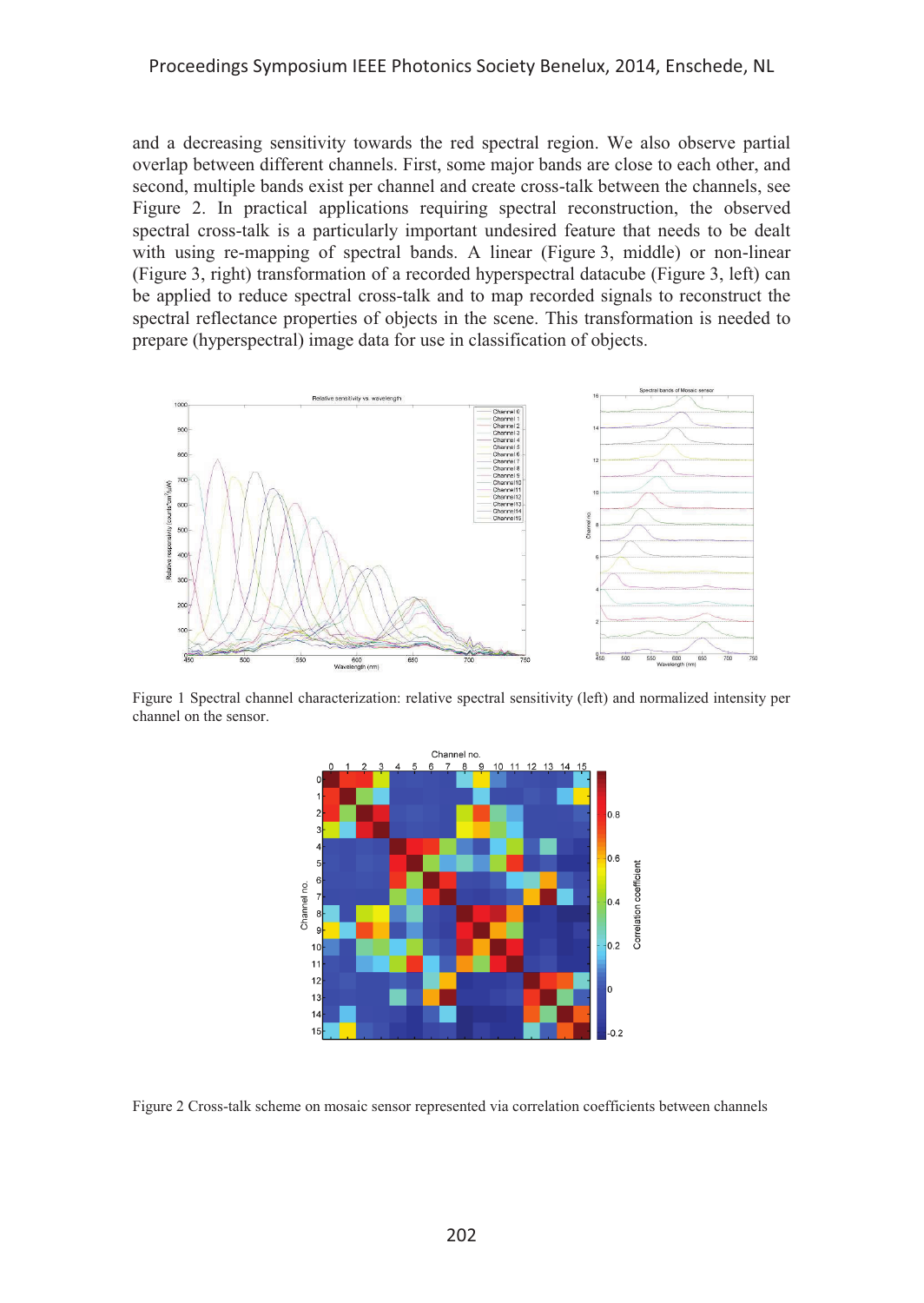#### Proceedings Symposium IEEE Photonics Society Benelux, 2014, Enschede, NL

and a decreasing sensitivity towards the red spectral region. We also observe partial overlap between different channels. First, some major bands are close to each other, and second, multiple bands exist per channel and create cross-talk between the channels, see Figure 2. In practical applications requiring spectral reconstruction, the observed spectral cross-talk is a particularly important undesired feature that needs to be dealt with using re-mapping of spectral bands. A linear (Figure 3, middle) or non-linear (Figure 3, right) transformation of a recorded hyperspectral datacube (Figure 3, left) can be applied to reduce spectral cross-talk and to map recorded signals to reconstruct the spectral reflectance properties of objects in the scene. This transformation is needed to prepare (hyperspectral) image data for use in classification of objects.



Figure 1 Spectral channel characterization: relative spectral sensitivity (left) and normalized intensity per channel on the sensor.



Figure 2 Cross-talk scheme on mosaic sensor represented via correlation coefficients between channels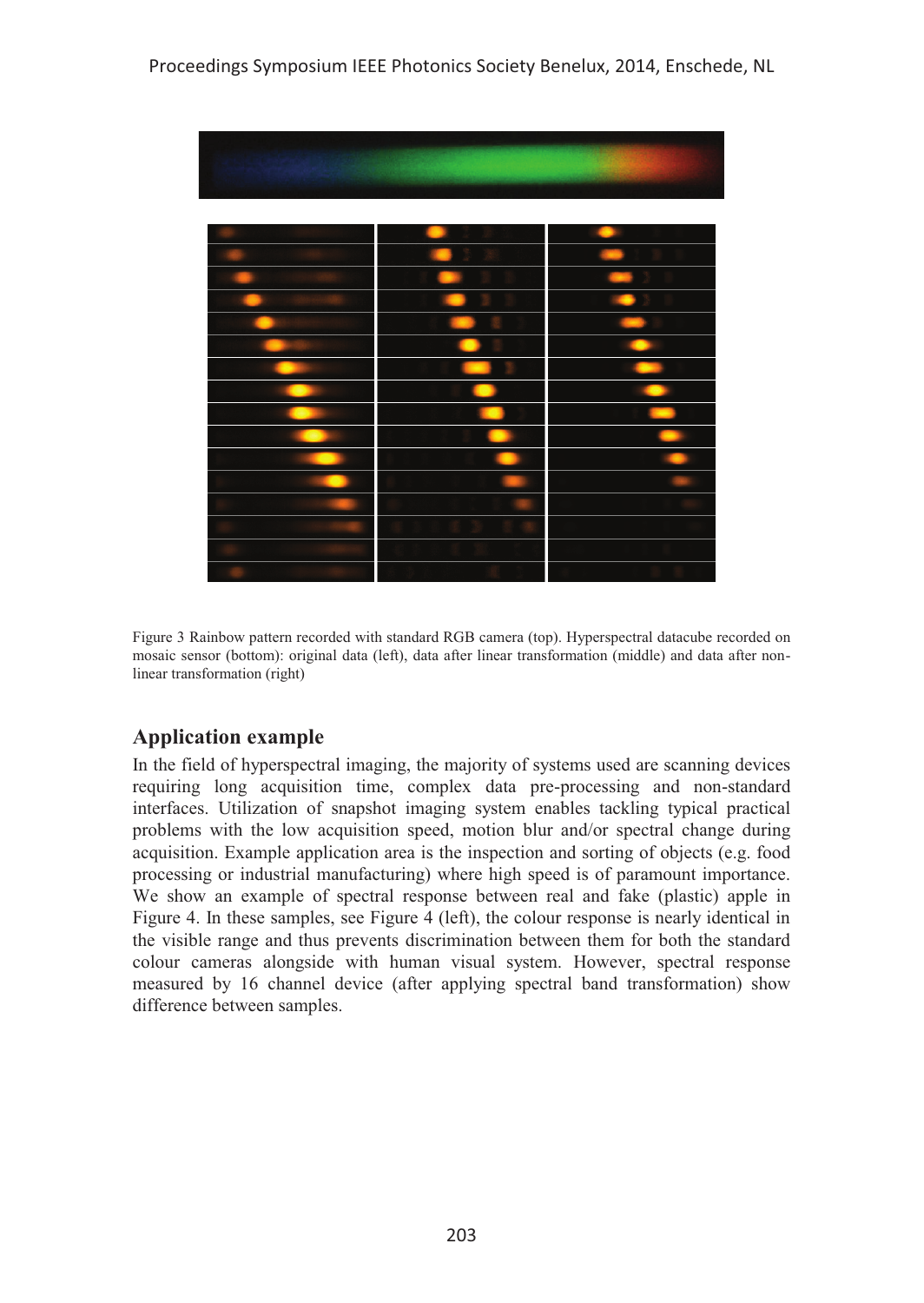

Figure 3 Rainbow pattern recorded with standard RGB camera (top). Hyperspectral datacube recorded on mosaic sensor (bottom): original data (left), data after linear transformation (middle) and data after nonlinear transformation (right)

## **Application example**

In the field of hyperspectral imaging, the majority of systems used are scanning devices requiring long acquisition time, complex data pre-processing and non-standard interfaces. Utilization of snapshot imaging system enables tackling typical practical problems with the low acquisition speed, motion blur and/or spectral change during acquisition. Example application area is the inspection and sorting of objects (e.g. food processing or industrial manufacturing) where high speed is of paramount importance. We show an example of spectral response between real and fake (plastic) apple in Figure 4. In these samples, see Figure 4 (left), the colour response is nearly identical in the visible range and thus prevents discrimination between them for both the standard colour cameras alongside with human visual system. However, spectral response measured by 16 channel device (after applying spectral band transformation) show difference between samples.